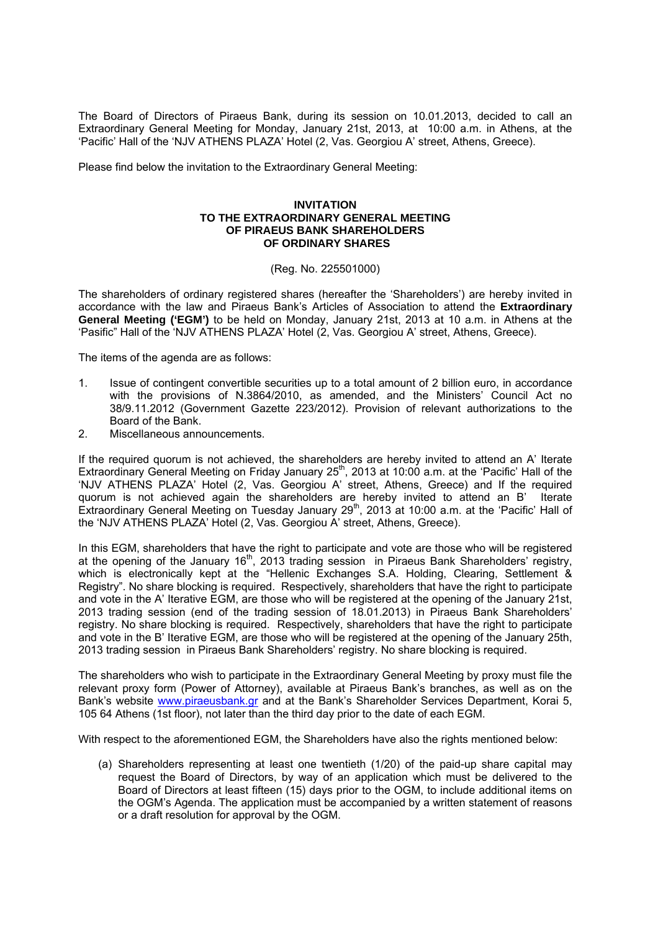The Board of Directors of Piraeus Bank, during its session on 10.01.2013, decided to call an Extraordinary General Meeting for Monday, January 21st, 2013, at 10:00 a.m. in Athens, at the 'Pacific' Hall of the 'ΝJV ATHENS PLAZA' Hotel (2, Vas. Georgiou Α' street, Athens, Greece).

Please find below the invitation to the Extraordinary General Meeting:

## **INVITATION TO THE EXTRAORDINARY GENERAL MEETING OF PIRAEUS BANK SHAREHOLDERS OF ORDINARY SHARES**

## (Reg. No. 225501000)

The shareholders of ordinary registered shares (hereafter the 'Shareholders') are hereby invited in accordance with the law and Piraeus Bank's Articles of Association to attend the **Extraordinary General Meeting ('EGM')** to be held on Monday, January 21st, 2013 at 10 a.m. in Athens at the 'Pasific" Hall of the 'NJV ATHENS PLAZA' Hotel (2, Vas. Georgiou Α' street, Athens, Greece).

The items of the agenda are as follows:

- 1. Issue of contingent convertible securities up to a total amount of 2 billion euro, in accordance with the provisions of N.3864/2010, as amended, and the Ministers' Council Act no 38/9.11.2012 (Government Gazette 223/2012). Provision of relevant authorizations to the Board of the Bank.
- 2. Miscellaneous announcements.

If the required quorum is not achieved, the shareholders are hereby invited to attend an A' Iterate Extraordinary General Meeting on Friday January 25<sup>th</sup>, 2013 at 10:00 a.m. at the 'Pacific' Hall of the 'NJV ATHENS PLAZA' Hotel (2, Vas. Georgiou Α' street, Athens, Greece) and If the required quorum is not achieved again the shareholders are hereby invited to attend an B' Iterate Extraordinary General Meeting on Tuesday January 29<sup>th</sup>, 2013 at 10:00 a.m. at the 'Pacific' Hall of the 'NJV ATHENS PLAZA' Hotel (2, Vas. Georgiou Α' street, Athens, Greece).

In this EGM, shareholders that have the right to participate and vote are those who will be registered at the opening of the January  $16<sup>th</sup>$ , 2013 trading session in Piraeus Bank Shareholders' registry, which is electronically kept at the "Hellenic Exchanges S.A. Holding, Clearing, Settlement & Registry". No share blocking is required. Respectively, shareholders that have the right to participate and vote in the A' Iterative EGM, are those who will be registered at the opening of the January 21st, 2013 trading session (end of the trading session of 18.01.2013) in Piraeus Bank Shareholders' registry. No share blocking is required. Respectively, shareholders that have the right to participate and vote in the B' Iterative EGM, are those who will be registered at the opening of the January 25th, 2013 trading session in Piraeus Bank Shareholders' registry. No share blocking is required.

The shareholders who wish to participate in the Extraordinary General Meeting by proxy must file the relevant proxy form (Power of Attorney), available at Piraeus Bank's branches, as well as on the Bank's website www.piraeusbank.gr and at the Bank's Shareholder Services Department, Korai 5, 105 64 Athens (1st floor), not later than the third day prior to the date of each EGM.

With respect to the aforementioned EGM, the Shareholders have also the rights mentioned below:

(a) Shareholders representing at least one twentieth (1/20) of the paid-up share capital may request the Board of Directors, by way of an application which must be delivered to the Board of Directors at least fifteen (15) days prior to the ΟGM, to include additional items on the ΟGM's Agenda. The application must be accompanied by a written statement of reasons or a draft resolution for approval by the ΟGM.